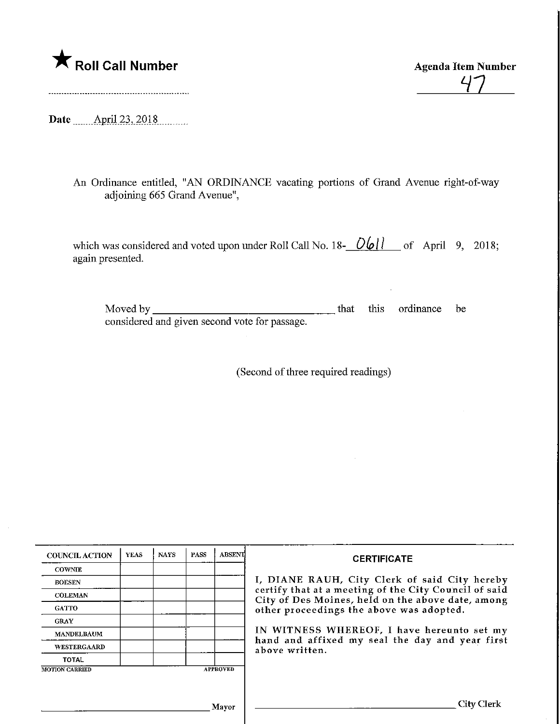

<u>47 </u>

Date ........April 23,2018

An Ordinance entitled, "AN ORDINANCE vacating portions of Grand Avenue right-of-way adjoining 665 Grand Avenue",

which was considered and voted upon under Roll Call No. 18- $\frac{O\{o\}}{1}$  of April 9, 2018; again presented.

Moved by considered and given second vote for passage. that this ordinance be

(Second of three required readings)

| <b>COUNCIL ACTION</b> | <b>YEAS</b> | <b>NAYS</b> | <b>PASS</b> | <b>ABSENT</b>   | <b>CERTIFICATE</b><br>I, DIANE RAUH, City Clerk of said City hereby                                                                                         |  |  |
|-----------------------|-------------|-------------|-------------|-----------------|-------------------------------------------------------------------------------------------------------------------------------------------------------------|--|--|
| <b>COWNIE</b>         |             |             |             |                 |                                                                                                                                                             |  |  |
| <b>BOLSEN</b>         |             |             |             |                 |                                                                                                                                                             |  |  |
| <b>COLEMAN</b>        |             |             |             |                 | certify that at a meeting of the City Council of said<br>City of Des Moines, held on the above date, among                                                  |  |  |
| <b>GATTO</b>          |             |             |             |                 | other proceedings the above was adopted.<br>IN WITNESS WHEREOF, I have hereunto set my<br>hand and affixed my seal the day and year first<br>above written. |  |  |
| <b>GRAY</b>           |             |             |             |                 |                                                                                                                                                             |  |  |
| <b>MANDELBAUM</b>     |             |             |             |                 |                                                                                                                                                             |  |  |
| <b>WESTERGAARD</b>    |             |             |             |                 |                                                                                                                                                             |  |  |
| <b>TOTAL</b>          |             |             |             |                 |                                                                                                                                                             |  |  |
| <b>MOTION CARRIED</b> |             |             |             | <b>APPROVED</b> |                                                                                                                                                             |  |  |
|                       |             |             |             |                 |                                                                                                                                                             |  |  |
|                       |             |             |             |                 |                                                                                                                                                             |  |  |
| Mayor                 |             |             |             |                 | City Clerk                                                                                                                                                  |  |  |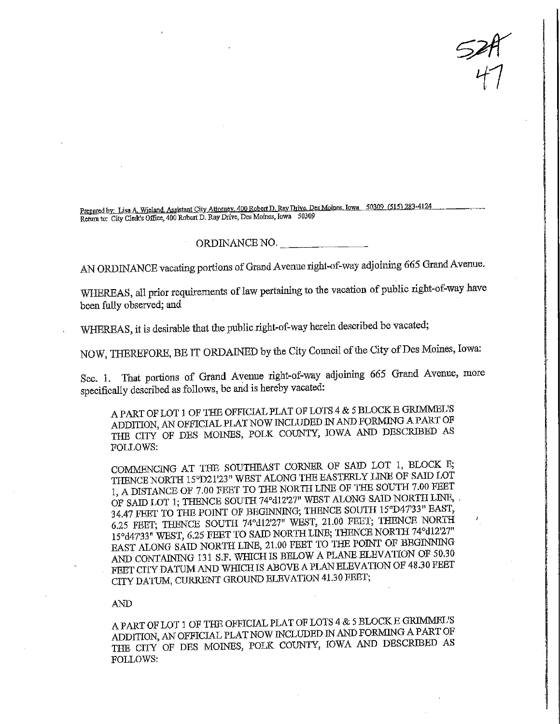$\frac{1}{\sqrt{2}}$ 

Prepared by: Lisa A. Wieland, Assistant City Attorney, 400 Robert D. Ray Drive. Des Moines, Iowa 50309 (515) 283-4124.<br>Return to: City Clerk's Office, 400 Robert D. Ray Drive, Des Moines, Iowa 50309

## ORDINANCE NO.

AN ORDINANCE vacating portions of Grand Avenue right-of-way adjoining 665 Grand Avenue.

WHEREAS, all prior requirements of law pertaining to the vacation of public right-of-way have been fully observed; and

WHEREAS, it is desirable that the public right-of-way herein described be vacated;

NOW, THEREFORE, BE IT ORDAINED by the City Council of the City of Des Moines, Iowa:

Sec. 1. That portions of Grand Avenue right-of-way adjoining 665 Grand Avenue, more specifically described as follows, be and is hereby vacated:

A PART OF LOT 1 OF THE OFFICIAL PLAT OF LOTS 4 & 5 BLOCK E GRIMMEL'S ADDITION, AN OFFICIAL PLAT NOW INCLUDED IN AND FORMING A PART OF THE CITY OF DES MOINES, POLK COUNTY, IOWA AND DESCRIBED AS FOLLOWS:

COMMENCING AT THE SOUTHEAST CORNER OF SAID LOT 1, BLOCK E; THENCE NORTH 15°D21'23" WEST ALONG THE EASTERLY LINE OF SAID LOT 1, A DISTANCE OF 7.00 FEET TO THE NORTH LINE OF THE SOUTH 7.00 FEET OF SAID LOT 1; THENCE SOUTH 74°d12'27" WEST ALONG SAID NORTH LINE, . 34.47 FEET TO THE POINT OF BEGINNING; THENCE SOUTH 15°D47'33" EAST, 6.25 FEET; THENCE SOUTH 74°d12'27" WEST, 21.00 FEET; THENCE NORTH 15°d47'33" WEST, 6.25 FEET TO SAID NORTH LINE; THENCE NORTH 74°d12'27" EAST ALONG SAID NORTH LINE, 21.00 FEET TO THE POINT OF BEGINNING AND CONTAINING 131 S.F. WHICH IS BELOW A PLANE ELEVATION OF 50.30 FEET CITY DATUM AND WHICH IS ABOVE A PLAN ELEVATION OF 48.30 FEET CITY DATUM, CURRENT GROUND ELEVATION 41.30 FEET;

**AND** 

A PART OF LOT 1 OF THE OFFICIAL PLAT OF LOTS 4 & 5 BLOCK E GRIMMEL'S ADDITION, AN OFFICIAL PLAT NOW INCLUDED IN AND FORMING A PART OF THE CITY OF DES MOINES, POLK COUNTY, IOWA AND DESCRIBED AS **FOLLOWS:**